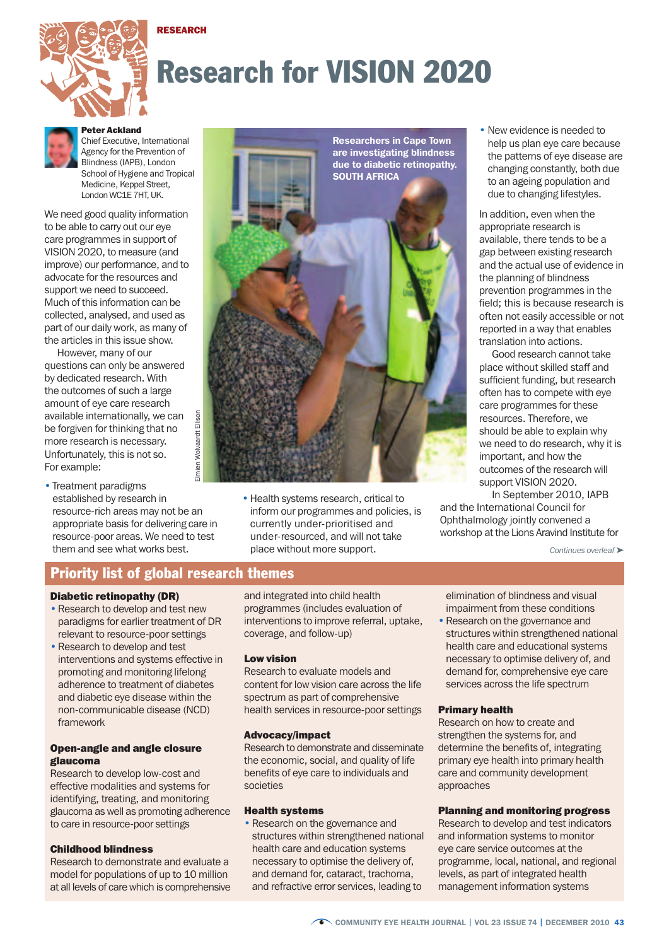



# Research for VISION 2020



Peter Ackland Chief Executive, International Agency for the Prevention of Blindness (IAPB), London School of Hygiene and Tropical Medicine, Kennel Street

London WC1E 7HT, UK.

We need good quality information to be able to carry out our eye care programmes in support of VISION 2020, to measure (and improve) our performance, and to advocate for the resources and support we need to succeed. Much of this information can be collected, analysed, and used as part of our daily work, as many of the articles in this issue show.

However, many of our questions can only be answered by dedicated research. With the outcomes of such a large amount of eye care research available internationally, we can be forgiven for thinking that no more research is necessary. Unfortunately, this is not so. For example:

Elmien Wolvaardt Ellison $I$ mien • Treatment paradigms established by research in resource-rich areas may not be an appropriate basis for delivering care in resource-poor areas. We need to test them and see what works best.



•Health systems research, critical to inform our programmes and policies, is currently under-prioritised and under-resourced, and will not take place without more support.

• New evidence is needed to help us plan eye care because the patterns of eye disease are changing constantly, both due to an ageing population and due to changing lifestyles.

In addition, even when the appropriate research is available, there tends to be a gap between existing research and the actual use of evidence in the planning of blindness prevention programmes in the field; this is because research is often not easily accessible or not reported in a way that enables translation into actions.

Good research cannot take place without skilled staff and sufficient funding, but research often has to compete with eye care programmes for these resources. Therefore, we should be able to explain why we need to do research, why it is important, and how the outcomes of the research will support VISION 2020.

In September 2010, IAPB and the International Council for Ophthalmology jointly convened a workshop at the Lions Aravind Institute for

*Continues overleaf* ➤

# Priority list of global research themes

Ellison

Wolvaardt

#### Diabetic retinopathy (DR)

- Research to develop and test new paradigms for earlier treatment of DR relevant to resource-poor settings
- Research to develop and test interventions and systems effective in promoting and monitoring lifelong adherence to treatment of diabetes and diabetic eye disease within the non-communicable disease (NCD) framework

## Open-angle and angle closure glaucoma

Research to develop low-cost and effective modalities and systems for identifying, treating, and monitoring glaucoma as well as promoting adherence to care in resource-poor settings

## Childhood blindness

Research to demonstrate and evaluate a model for populations of up to 10 million at all levels of care which is comprehensive and integrated into child health programmes (includes evaluation of interventions to improve referral, uptake, coverage, and follow-up)

## Low vision

Research to evaluate models and content for low vision care across the life spectrum as part of comprehensive health services in resource-poor settings

## Advocacy/impact

Research to demonstrate and disseminate the economic, social, and quality of life benefits of eye care to individuals and societies

#### Health systems

• Research on the governance and structures within strengthened national health care and education systems necessary to optimise the delivery of, and demand for, cataract, trachoma, and refractive error services, leading to

elimination of blindness and visual impairment from these conditions

• Research on the governance and structures within strengthened national health care and educational systems necessary to optimise delivery of, and demand for, comprehensive eye care services across the life spectrum

#### Primary health

Research on how to create and strengthen the systems for, and determine the benefits of, integrating primary eye health into primary health care and community development approaches

#### Planning and monitoring progress

Research to develop and test indicators and information systems to monitor eye care service outcomes at the programme, local, national, and regional levels, as part of integrated health management information systems